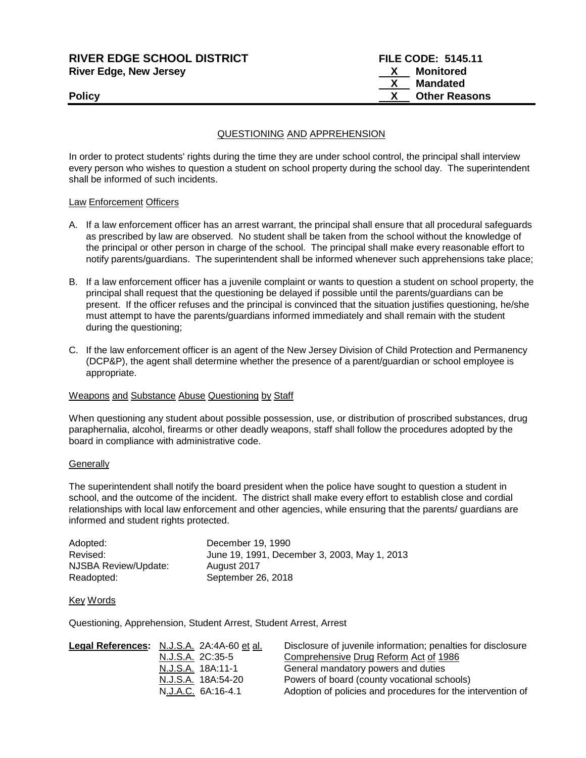| <b>RIVER EDGE SCHOOL DISTRICT</b> | <b>FILE CODE: 5145.11</b> |
|-----------------------------------|---------------------------|
| River Edge, New Jersey            | Monitored                 |
|                                   | Mandated                  |
| Policy                            | <b>Other Reasons</b>      |
|                                   |                           |

## QUESTIONING AND APPREHENSION

In order to protect students' rights during the time they are under school control, the principal shall interview every person who wishes to question a student on school property during the school day. The superintendent shall be informed of such incidents.

## Law Enforcement Officers

- A. If a law enforcement officer has an arrest warrant, the principal shall ensure that all procedural safeguards as prescribed by law are observed. No student shall be taken from the school without the knowledge of the principal or other person in charge of the school. The principal shall make every reasonable effort to notify parents/guardians. The superintendent shall be informed whenever such apprehensions take place;
- B. If a law enforcement officer has a juvenile complaint or wants to question a student on school property, the principal shall request that the questioning be delayed if possible until the parents/guardians can be present. If the officer refuses and the principal is convinced that the situation justifies questioning, he/she must attempt to have the parents/guardians informed immediately and shall remain with the student during the questioning;
- C. If the law enforcement officer is an agent of the New Jersey Division of Child Protection and Permanency (DCP&P), the agent shall determine whether the presence of a parent/guardian or school employee is appropriate.

## Weapons and Substance Abuse Questioning by Staff

When questioning any student about possible possession, use, or distribution of proscribed substances, drug paraphernalia, alcohol, firearms or other deadly weapons, staff shall follow the procedures adopted by the board in compliance with administrative code.

#### **Generally**

The superintendent shall notify the board president when the police have sought to question a student in school, and the outcome of the incident. The district shall make every effort to establish close and cordial relationships with local law enforcement and other agencies, while ensuring that the parents/ guardians are informed and student rights protected.

| Adopted:             | December 19, 1990                            |
|----------------------|----------------------------------------------|
| Revised:             | June 19, 1991, December 3, 2003, May 1, 2013 |
| NJSBA Review/Update: | August 2017                                  |
| Readopted:           | September 26, 2018                           |

#### Key Words

Questioning, Apprehension, Student Arrest, Student Arrest, Arrest

| <b>Legal References:</b> N.J.S.A. 2A:4A-60 et al. | Disclosure of juvenile information; penalties for disclosure |
|---------------------------------------------------|--------------------------------------------------------------|
| N.J.S.A. 2C:35-5                                  | Comprehensive Drug Reform Act of 1986                        |
| N.J.S.A. 18A:11-1                                 | General mandatory powers and duties                          |
| N.J.S.A. 18A:54-20                                | Powers of board (county vocational schools)                  |
| N.J.A.C. 6A:16-4.1                                | Adoption of policies and procedures for the intervention of  |
|                                                   |                                                              |